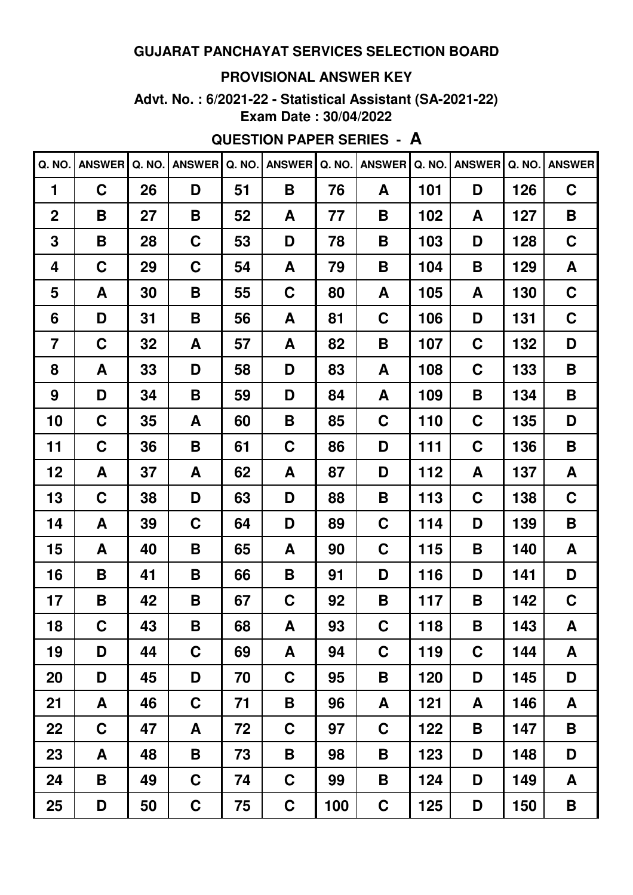#### **PROVISIONAL ANSWER KEY**

**Advt. No. : 6/2021-22 - Statistical Assistant (SA-2021-22) Exam Date : 30/04/2022**

## **QUESTION PAPER SERIES - A**

| Q. NO.         | <b>ANSWER</b> | Q. NO. | <b>ANSWER</b> | Q. NO. | <b>ANSWER</b> | Q. NO. | <b>ANSWER</b> | Q. NO. | <b>ANSWER</b> |     | Q. NO. ANSWER |
|----------------|---------------|--------|---------------|--------|---------------|--------|---------------|--------|---------------|-----|---------------|
| 1              | $\mathbf C$   | 26     | D             | 51     | Β             | 76     | A             | 101    | D             | 126 | C             |
| $\mathbf 2$    | B             | 27     | B             | 52     | A             | 77     | B             | 102    | A             | 127 | B             |
| 3              | B             | 28     | C             | 53     | D             | 78     | B             | 103    | D             | 128 | C             |
| 4              | C             | 29     | C             | 54     | A             | 79     | B             | 104    | B             | 129 | A             |
| 5              | A             | 30     | B             | 55     | C             | 80     | A             | 105    | A             | 130 | C             |
| 6              | D             | 31     | B             | 56     | A             | 81     | C             | 106    | D             | 131 | C             |
| $\overline{7}$ | C             | 32     | A             | 57     | A             | 82     | B             | 107    | C             | 132 | D             |
| 8              | A             | 33     | D             | 58     | D             | 83     | A             | 108    | C             | 133 | B             |
| 9              | D             | 34     | B             | 59     | D             | 84     | A             | 109    | B             | 134 | B             |
| 10             | C             | 35     | A             | 60     | Β             | 85     | C             | 110    | C             | 135 | D             |
| 11             | C             | 36     | B             | 61     | C             | 86     | D             | 111    | C             | 136 | B             |
| 12             | A             | 37     | A             | 62     | A             | 87     | D             | 112    | A             | 137 | A             |
| 13             | C             | 38     | D             | 63     | D             | 88     | B             | 113    | $\mathbf C$   | 138 | C             |
| 14             | A             | 39     | C             | 64     | D             | 89     | C             | 114    | D             | 139 | B             |
| 15             | A             | 40     | B             | 65     | A             | 90     | C             | 115    | B             | 140 | A             |
| 16             | B             | 41     | B             | 66     | Β             | 91     | D             | 116    | D             | 141 | D             |
| 17             | B             | 42     | B             | 67     | C             | 92     | B             | 117    | B             | 142 | C             |
| 18             | $\mathbf C$   | 43     | B             | 68     | A             | 93     | $\mathbf C$   | 118    | B             | 143 | A             |
| 19             | D             | 44     | $\mathbf C$   | 69     | A             | 94     | $\mathbf C$   | 119    | $\mathbf C$   | 144 | A             |
| 20             | D             | 45     | D             | 70     | $\mathbf C$   | 95     | B             | 120    | D             | 145 | D             |
| 21             | A             | 46     | C             | 71     | Β             | 96     | A             | 121    | A             | 146 | A             |
| 22             | $\mathbf C$   | 47     | A             | 72     | $\mathbf C$   | 97     | C             | 122    | B             | 147 | B             |
| 23             | A             | 48     | B             | 73     | Β             | 98     | B             | 123    | D             | 148 | D             |
| 24             | B             | 49     | $\mathbf C$   | 74     | $\mathbf C$   | 99     | B             | 124    | D             | 149 | A             |
| 25             | D             | 50     | $\mathbf C$   | 75     | $\mathbf C$   | 100    | $\mathbf C$   | 125    | D             | 150 | B             |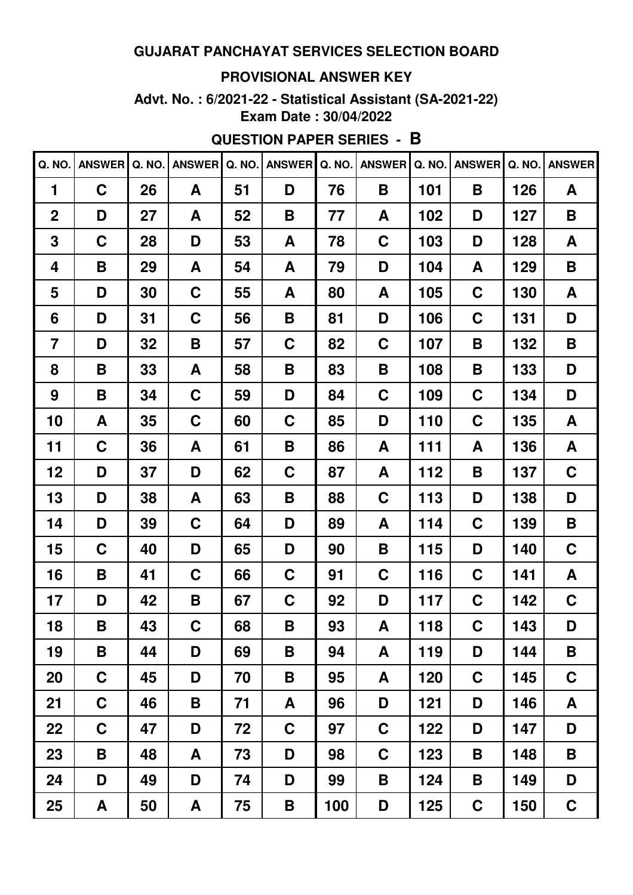#### **PROVISIONAL ANSWER KEY**

**Advt. No. : 6/2021-22 - Statistical Assistant (SA-2021-22) Exam Date : 30/04/2022**

# **QUESTION PAPER SERIES - B**

| Q. NO.         | <b>ANSWER</b> | Q. NO. | <b>ANSWER</b> | Q. NO. | <b>ANSWER</b> | Q. NO. | <b>ANSWER</b> | Q. NO. | <b>ANSWER</b> | Q. NO. | <b>ANSWER</b> |
|----------------|---------------|--------|---------------|--------|---------------|--------|---------------|--------|---------------|--------|---------------|
| 1              | $\mathbf C$   | 26     | A             | 51     | D             | 76     | B             | 101    | B             | 126    | A             |
| $\mathbf 2$    | D             | 27     | A             | 52     | B             | 77     | A             | 102    | D             | 127    | B             |
| 3              | C             | 28     | D             | 53     | A             | 78     | C             | 103    | D             | 128    | A             |
| 4              | B             | 29     | A             | 54     | A             | 79     | D             | 104    | A             | 129    | B             |
| 5              | D             | 30     | C             | 55     | A             | 80     | A             | 105    | C             | 130    | A             |
| 6              | D             | 31     | C             | 56     | B             | 81     | D             | 106    | C             | 131    | D             |
| $\overline{7}$ | D             | 32     | Β             | 57     | C             | 82     | C             | 107    | В             | 132    | B             |
| 8              | B             | 33     | A             | 58     | Β             | 83     | B             | 108    | B             | 133    | D             |
| 9              | B             | 34     | C             | 59     | D             | 84     | C             | 109    | C             | 134    | D             |
| 10             | A             | 35     | C             | 60     | C             | 85     | D             | 110    | C             | 135    | A             |
| 11             | C             | 36     | A             | 61     | B             | 86     | A             | 111    | A             | 136    | A             |
| 12             | D             | 37     | D             | 62     | C             | 87     | A             | 112    | B             | 137    | C             |
| 13             | D             | 38     | A             | 63     | B             | 88     | C             | 113    | D             | 138    | D             |
| 14             | D             | 39     | C             | 64     | D             | 89     | A             | 114    | C             | 139    | B             |
| 15             | C             | 40     | D             | 65     | D             | 90     | B             | 115    | D             | 140    | $\mathbf C$   |
| 16             | B             | 41     | C             | 66     | C             | 91     | C             | 116    | C             | 141    | A             |
| 17             | D             | 42     | Β             | 67     | C             | 92     | D             | 117    | C             | 142    | C             |
| 18             | B             | 43     | $\mathbf C$   | 68     | B             | 93     | A             | 118    | $\mathbf C$   | 143    | D             |
| 19             | B             | 44     | D             | 69     | B             | 94     | A             | 119    | D             | 144    | B             |
| 20             | $\mathbf C$   | 45     | D             | 70     | Β             | 95     | A             | 120    | C             | 145    | $\mathbf C$   |
| 21             | $\mathbf C$   | 46     | B             | 71     | A             | 96     | D             | 121    | D             | 146    | A             |
| 22             | $\mathbf C$   | 47     | D             | 72     | $\mathbf C$   | 97     | $\mathbf C$   | 122    | D             | 147    | D             |
| 23             | B             | 48     | A             | 73     | D             | 98     | $\mathbf C$   | 123    | B             | 148    | B             |
| 24             | D             | 49     | D             | 74     | D             | 99     | B             | 124    | B             | 149    | D             |
| 25             | A             | 50     | A             | 75     | B             | 100    | D             | 125    | $\mathbf C$   | 150    | $\mathbf C$   |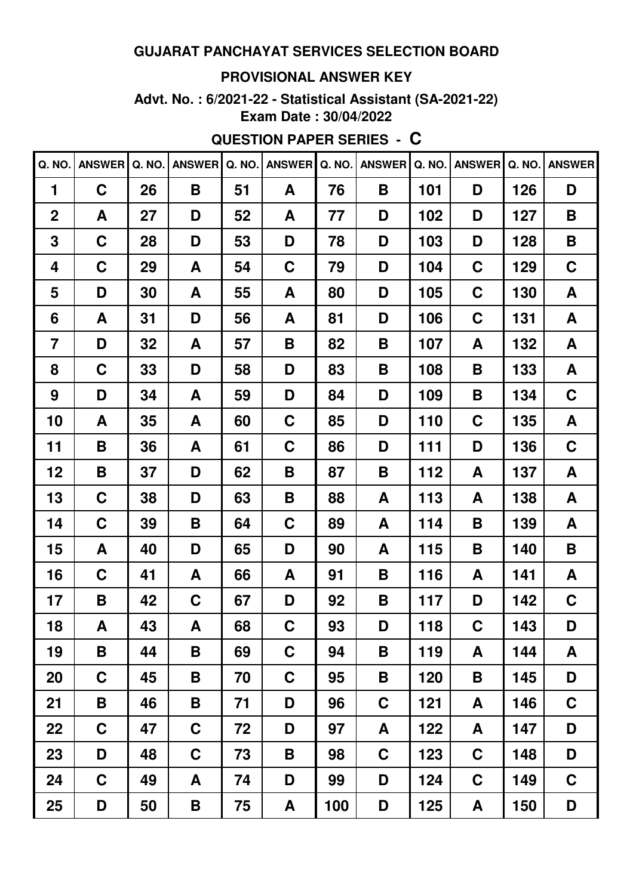#### **PROVISIONAL ANSWER KEY**

**Advt. No. : 6/2021-22 - Statistical Assistant (SA-2021-22) Exam Date : 30/04/2022**

**QUESTION PAPER SERIES - C**

| Q. NO.         | <b>ANSWER</b> | <b>Q. NO.</b> | <b>ANSWER</b> | Q. NO. | <b>ANSWER</b> | Q. NO. | <b>ANSWER</b> | Q. NO. | <b>ANSWER</b> | Q. NO. | <b>ANSWER</b> |
|----------------|---------------|---------------|---------------|--------|---------------|--------|---------------|--------|---------------|--------|---------------|
| 1              | C             | 26            | B             | 51     | A             | 76     | B             | 101    | D             | 126    | D             |
| $\overline{2}$ | A             | 27            | D             | 52     | A             | 77     | D             | 102    | D             | 127    | B             |
| 3              | $\mathbf C$   | 28            | D             | 53     | D             | 78     | D             | 103    | D             | 128    | B             |
| 4              | C             | 29            | A             | 54     | C             | 79     | D             | 104    | C             | 129    | $\mathbf C$   |
| 5              | D             | 30            | A             | 55     | A             | 80     | D             | 105    | C             | 130    | A             |
| 6              | A             | 31            | D             | 56     | A             | 81     | D             | 106    | C             | 131    | A             |
| $\overline{7}$ | D             | 32            | A             | 57     | Β             | 82     | B             | 107    | A             | 132    | A             |
| 8              | C             | 33            | D             | 58     | D             | 83     | B             | 108    | B             | 133    | A             |
| 9              | D             | 34            | A             | 59     | D             | 84     | D             | 109    | B             | 134    | C             |
| 10             | A             | 35            | A             | 60     | C             | 85     | D             | 110    | C             | 135    | A             |
| 11             | B             | 36            | A             | 61     | C             | 86     | D             | 111    | D             | 136    | $\mathbf C$   |
| 12             | B             | 37            | D             | 62     | Β             | 87     | B             | 112    | A             | 137    | A             |
| 13             | C             | 38            | D             | 63     | Β             | 88     | A             | 113    | A             | 138    | A             |
| 14             | C             | 39            | B             | 64     | C             | 89     | A             | 114    | B             | 139    | A             |
| 15             | A             | 40            | D             | 65     | D             | 90     | A             | 115    | B             | 140    | B             |
| 16             | C             | 41            | A             | 66     | A             | 91     | Β             | 116    | A             | 141    | A             |
| 17             | B             | 42            | C             | 67     | D             | 92     | B             | 117    | D             | 142    | C             |
| 18             | A             | 43            | A             | 68     | C             | 93     | D             | 118    | $\mathbf C$   | 143    | D             |
| 19             | B             | 44            | B             | 69     | C             | 94     | Β             | 119    | A             | 144    | A             |
| 20             | C             | 45            | Β             | 70     | $\mathbf C$   | 95     | Β             | 120    | B             | 145    | D             |
| 21             | B             | 46            | B             | 71     | D             | 96     | C             | 121    | A             | 146    | $\mathbf C$   |
| 22             | C             | 47            | $\mathbf C$   | 72     | D             | 97     | A             | 122    | A             | 147    | D             |
| 23             | D             | 48            | $\mathbf C$   | 73     | B             | 98     | $\mathbf C$   | 123    | $\mathbf C$   | 148    | D             |
| 24             | $\mathbf C$   | 49            | A             | 74     | D             | 99     | D             | 124    | $\mathbf C$   | 149    | $\mathbf C$   |
| 25             | D             | 50            | B             | 75     | A             | 100    | D             | 125    | A             | 150    | D             |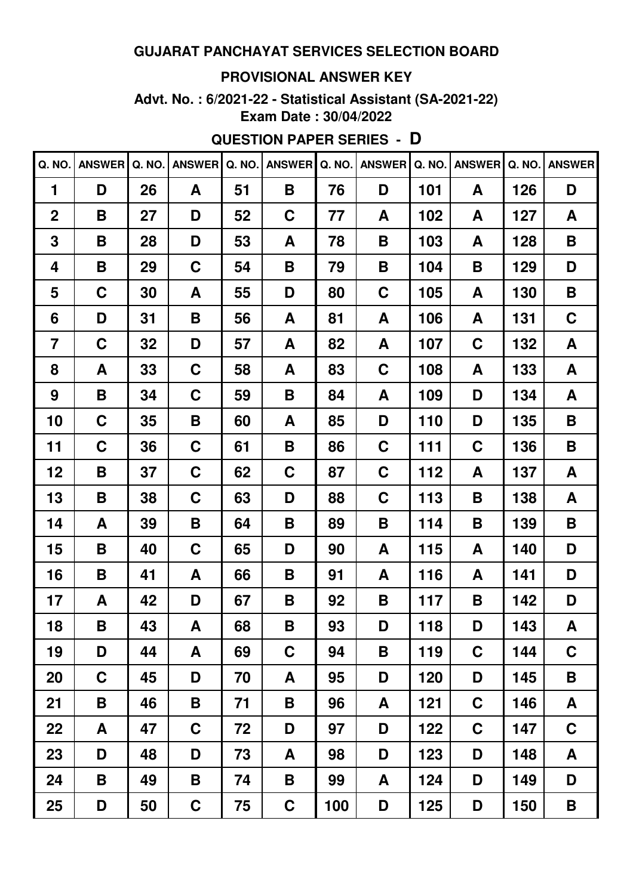#### **PROVISIONAL ANSWER KEY**

**Advt. No. : 6/2021-22 - Statistical Assistant (SA-2021-22) Exam Date : 30/04/2022**

# **QUESTION PAPER SERIES - D**

| Q. NO.         | <b>ANSWER</b> | Q. NO. | <b>ANSWER</b> | Q. NO. | <b>ANSWER</b> | Q. NO. | <b>ANSWER</b> | Q. NO. | <b>ANSWER</b> | Q. NO. | <b>ANSWER</b> |
|----------------|---------------|--------|---------------|--------|---------------|--------|---------------|--------|---------------|--------|---------------|
| 1              | D             | 26     | A             | 51     | Β             | 76     | D             | 101    | A             | 126    | D             |
| $\mathbf 2$    | B             | 27     | D             | 52     | C             | 77     | A             | 102    | A             | 127    | A             |
| 3              | B             | 28     | D             | 53     | A             | 78     | B             | 103    | A             | 128    | B             |
| 4              | B             | 29     | C             | 54     | Β             | 79     | B             | 104    | B             | 129    | D             |
| 5              | C             | 30     | A             | 55     | D             | 80     | C             | 105    | A             | 130    | B             |
| 6              | D             | 31     | B             | 56     | A             | 81     | A             | 106    | A             | 131    | C             |
| $\overline{7}$ | C             | 32     | D             | 57     | A             | 82     | A             | 107    | $\mathbf C$   | 132    | A             |
| 8              | A             | 33     | C             | 58     | A             | 83     | C             | 108    | A             | 133    | A             |
| 9              | B             | 34     | C             | 59     | Β             | 84     | A             | 109    | D             | 134    | A             |
| 10             | C             | 35     | Β             | 60     | A             | 85     | D             | 110    | D             | 135    | B             |
| 11             | C             | 36     | C             | 61     | Β             | 86     | C             | 111    | $\mathbf C$   | 136    | B             |
| 12             | B             | 37     | C             | 62     | C             | 87     | C             | 112    | A             | 137    | A             |
| 13             | B             | 38     | C             | 63     | D             | 88     | C             | 113    | B             | 138    | A             |
| 14             | A             | 39     | Β             | 64     | Β             | 89     | B             | 114    | B             | 139    | B             |
| 15             | B             | 40     | C             | 65     | D             | 90     | A             | 115    | A             | 140    | D             |
| 16             | B             | 41     | A             | 66     | Β             | 91     | A             | 116    | A             | 141    | D             |
| 17             | A             | 42     | D             | 67     | Β             | 92     | B             | 117    | B             | 142    | D             |
| 18             | B             | 43     | A             | 68     | В             | 93     | D             | 118    | D             | 143    | A             |
| 19             | D             | 44     | A             | 69     | C             | 94     | B             | 119    | $\mathbf C$   | 144    | $\mathbf C$   |
| 20             | $\mathbf C$   | 45     | D             | 70     | A             | 95     | D             | 120    | D             | 145    | B             |
| 21             | B             | 46     | B             | 71     | Β             | 96     | A             | 121    | $\mathbf C$   | 146    | A             |
| 22             | A             | 47     | $\mathbf C$   | 72     | D             | 97     | D             | 122    | $\mathbf C$   | 147    | $\mathbf C$   |
| 23             | D             | 48     | D             | 73     | A             | 98     | D             | 123    | D             | 148    | A             |
| 24             | B             | 49     | B             | 74     | Β             | 99     | A             | 124    | D             | 149    | D             |
| 25             | D             | 50     | $\mathbf C$   | 75     | C             | 100    | D             | 125    | D             | 150    | B             |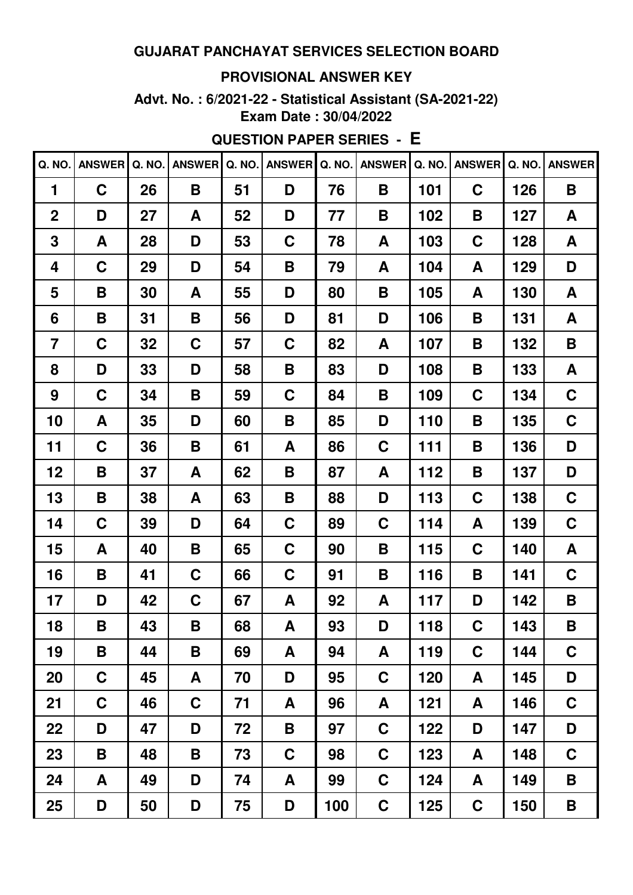#### **PROVISIONAL ANSWER KEY**

**Advt. No. : 6/2021-22 - Statistical Assistant (SA-2021-22) Exam Date : 30/04/2022**

# **QUESTION PAPER SERIES - E**

| Q. NO.         | <b>ANSWER</b> | Q. NO. | <b>ANSWER</b> | Q. NO. | <b>ANSWER</b> | Q. NO. | <b>ANSWER</b> | Q. NO. | <b>ANSWER</b> | Q. NO. | <b>ANSWER</b> |
|----------------|---------------|--------|---------------|--------|---------------|--------|---------------|--------|---------------|--------|---------------|
| 1              | C             | 26     | B             | 51     | D             | 76     | B             | 101    | $\mathbf C$   | 126    | B             |
| $\overline{2}$ | D             | 27     | A             | 52     | D             | 77     | B             | 102    | B             | 127    | A             |
| 3              | A             | 28     | D             | 53     | C             | 78     | A             | 103    | $\mathbf C$   | 128    | A             |
| 4              | $\mathbf C$   | 29     | D             | 54     | Β             | 79     | A             | 104    | A             | 129    | D             |
| 5              | B             | 30     | A             | 55     | D             | 80     | B             | 105    | A             | 130    | A             |
| 6              | B             | 31     | B             | 56     | D             | 81     | D             | 106    | B             | 131    | A             |
| $\overline{7}$ | C             | 32     | $\mathbf C$   | 57     | C             | 82     | A             | 107    | B             | 132    | B             |
| 8              | D             | 33     | D             | 58     | Β             | 83     | D             | 108    | B             | 133    | A             |
| 9              | C             | 34     | B             | 59     | C             | 84     | B             | 109    | C             | 134    | C             |
| 10             | A             | 35     | D             | 60     | Β             | 85     | D             | 110    | B             | 135    | C             |
| 11             | C             | 36     | B             | 61     | A             | 86     | C             | 111    | B             | 136    | D             |
| 12             | B             | 37     | A             | 62     | Β             | 87     | A             | 112    | B             | 137    | D             |
| 13             | B             | 38     | A             | 63     | Β             | 88     | D             | 113    | C             | 138    | C             |
| 14             | C             | 39     | D             | 64     | C             | 89     | C             | 114    | A             | 139    | C             |
| 15             | A             | 40     | B             | 65     | C             | 90     | B             | 115    | C             | 140    | A             |
| 16             | B             | 41     | C             | 66     | C             | 91     | B             | 116    | B             | 141    | C             |
| 17             | D             | 42     | C             | 67     | A             | 92     | A             | 117    | D             | 142    | Β             |
| 18             | B             | 43     | B             | 68     | A             | 93     | D             | 118    | $\mathbf C$   | 143    | B             |
| 19             | B             | 44     | Β             | 69     | A             | 94     | A             | 119    | $\mathbf C$   | 144    | $\mathbf C$   |
| 20             | $\mathbf C$   | 45     | A             | 70     | D             | 95     | C             | 120    | A             | 145    | D             |
| 21             | $\mathbf C$   | 46     | $\mathbf C$   | 71     | A             | 96     | A             | 121    | A             | 146    | $\mathbf C$   |
| 22             | D             | 47     | D             | 72     | Β             | 97     | C             | 122    | D             | 147    | D             |
| 23             | B             | 48     | B             | 73     | C             | 98     | C             | 123    | A             | 148    | $\mathbf C$   |
| 24             | A             | 49     | D             | 74     | A             | 99     | C             | 124    | A             | 149    | B             |
| 25             | D             | 50     | D             | 75     | D             | 100    | C             | 125    | $\mathbf C$   | 150    | B             |